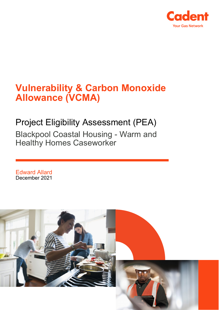

# **Vulnerability & Carbon Monoxide Allowance (VCMA)**

## Project Eligibility Assessment (PEA)

Blackpool Coastal Housing - Warm and Healthy Homes Caseworker

Edward Allard December 2021

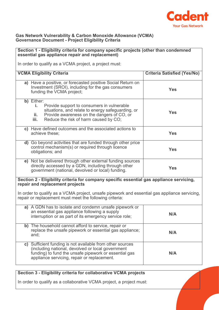

#### **Gas Network Vulnerability & Carbon Monoxide Allowance (VCMA) Governance Document - Project Eligibility Criteria**

| Section 1 - Eligibility criteria for company specific projects (other than condemned<br>essential gas appliance repair and replacement)                                                                                   |                                    |  |
|---------------------------------------------------------------------------------------------------------------------------------------------------------------------------------------------------------------------------|------------------------------------|--|
| In order to qualify as a VCMA project, a project must:                                                                                                                                                                    |                                    |  |
|                                                                                                                                                                                                                           |                                    |  |
| <b>VCMA Eligibility Criteria</b>                                                                                                                                                                                          | <b>Criteria Satisfied (Yes/No)</b> |  |
| a) Have a positive, or forecasted positive Social Return on<br>Investment (SROI), including for the gas consumers<br>funding the VCMA project;                                                                            | <b>Yes</b>                         |  |
| b) Either:<br>Provide support to consumers in vulnerable<br>i.<br>situations, and relate to energy safeguarding, or<br>Provide awareness on the dangers of CO, or<br>ii.<br>iii.<br>Reduce the risk of harm caused by CO; | <b>Yes</b>                         |  |
| c) Have defined outcomes and the associated actions to<br>achieve these;                                                                                                                                                  | <b>Yes</b>                         |  |
| d) Go beyond activities that are funded through other price<br>control mechanism(s) or required through licence<br>obligations; and                                                                                       | <b>Yes</b>                         |  |
| e) Not be delivered through other external funding sources<br>directly accessed by a GDN, including through other<br>government (national, devolved or local) funding.                                                    | <b>Yes</b>                         |  |
| Section 2 - Eligibility criteria for company specific essential gas appliance servicing,<br>repair and replacement projects                                                                                               |                                    |  |
| In order to qualify as a VCMA project, unsafe pipework and essential gas appliance servicing,<br>repair or replacement must meet the following criteria:                                                                  |                                    |  |
| a) A GDN has to isolate and condemn unsafe pipework or<br>an essential gas appliance following a supply<br>interruption or as part of its emergency service role;                                                         | N/A                                |  |
| b) The household cannot afford to service, repair or<br>replace the unsafe pipework or essential gas appliance;<br>and;                                                                                                   | N/A                                |  |
| c) Sufficient funding is not available from other sources<br>(including national, devolved or local government<br>funding) to fund the unsafe pipework or essential gas<br>appliance servicing, repair or replacement.    | N/A                                |  |

### **Section 3 - Eligibility criteria for collaborative VCMA projects**

In order to qualify as a collaborative VCMA project, a project must: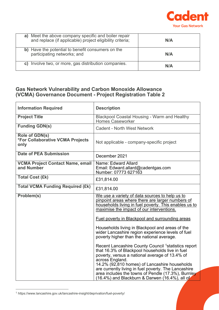

| Meet the above company specific and boiler repair<br>a)<br>and replace (if applicable) project eligibility criteria; | N/A |
|----------------------------------------------------------------------------------------------------------------------|-----|
| b) Have the potential to benefit consumers on the<br>participating networks; and                                     | N/A |
| Involve two, or more, gas distribution companies.<br>C)                                                              | N/A |

#### **Gas Network Vulnerability and Carbon Monoxide Allowance (VCMA) Governance Document - Project Registration Table 2**

| <b>Information Required</b>                                       | <b>Description</b>                                                                                                                                                                                                                                                                                                                                                                                       |
|-------------------------------------------------------------------|----------------------------------------------------------------------------------------------------------------------------------------------------------------------------------------------------------------------------------------------------------------------------------------------------------------------------------------------------------------------------------------------------------|
| <b>Project Title</b>                                              | <b>Blackpool Coastal Housing - Warm and Healthy</b><br><b>Homes Caseworker</b>                                                                                                                                                                                                                                                                                                                           |
| <b>Funding GDN(s)</b>                                             | <b>Cadent - North West Network</b>                                                                                                                                                                                                                                                                                                                                                                       |
| Role of GDN(s)<br><b>*For Collaborative VCMA Projects</b><br>only | Not applicable - company-specific project                                                                                                                                                                                                                                                                                                                                                                |
| <b>Date of PEA Submission</b>                                     | December 2021                                                                                                                                                                                                                                                                                                                                                                                            |
| <b>VCMA Project Contact Name, email</b><br>and Number             | Name: Edward Allard<br>Email: Edward.allard@cadentgas.com<br>Number: 07773 627163                                                                                                                                                                                                                                                                                                                        |
| <b>Total Cost (£k)</b>                                            | £31,814.00                                                                                                                                                                                                                                                                                                                                                                                               |
| <b>Total VCMA Funding Required (£k)</b>                           | £31,814.00                                                                                                                                                                                                                                                                                                                                                                                               |
| Problem(s)                                                        | We use a variety of data sources to help us to<br>pinpoint areas where there are larger numbers of<br>households living in fuel poverty. This enables us to<br>maximise the impact of our interventions.<br><b>Fuel poverty in Blackpool and surrounding areas</b>                                                                                                                                       |
|                                                                   | Households living in Blackpool and areas of the<br>wider Lancashire region experience levels of fuel<br>poverty higher than the national average.                                                                                                                                                                                                                                                        |
|                                                                   | Recent Lancashire County Council <sup>1</sup> statistics report<br>that 16.3% of Blackpool households live in fuel<br>poverty, versus a national average of 13.4% of<br>across England.<br>14.2% (92,810 homes) of Lancashire households<br>are currently living in fuel poverty. The Lancashire<br>area includes the towns of Pendle (17.3%), Burnley<br>(16.4%) and Blackburn & Darwen (16.4%), all of |

<span id="page-2-0"></span><sup>1</sup> https://www.lancashire.gov.uk/lancashire-insight/deprivation/fuel-poverty/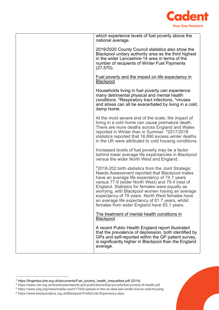

| which experience levels of fuel poverty above the<br>national average.                                                                                                                                                                                                                                                                                                                                                                                                              |
|-------------------------------------------------------------------------------------------------------------------------------------------------------------------------------------------------------------------------------------------------------------------------------------------------------------------------------------------------------------------------------------------------------------------------------------------------------------------------------------|
| 2019/2020 County Council statistics also show the<br>Blackpool unitary authority area as the third highest<br>in the wider Lancashire-14 area in terms of the<br>number of recipients of Winter Fuel Payments<br>$(27, 570)$ .                                                                                                                                                                                                                                                      |
| <b>Fuel poverty and the impact on life expectancy in</b><br>Blackpool                                                                                                                                                                                                                                                                                                                                                                                                               |
| Households living in fuel poverty can experience<br>many detrimental physical and mental health<br>conditions. <sup>2</sup> Respiratory tract infections, <sup>3</sup> viruses<br>and stress can all be exacerbated by living in a cold,<br>damp home.                                                                                                                                                                                                                              |
| At the most severe end of the scale, the impact of<br>living in a cold home can cause premature death.<br>There are more deaths across England and Wales<br>reported in Winter than in Summer. 42017/2018<br>statistics reported that 16,890 excess winter deaths<br>in the UK were attributed to cold housing conditions.                                                                                                                                                          |
| Increased levels of fuel poverty may be a factor<br>behind lower average life expectancies in Blackpool<br>versus the wider North West and England.                                                                                                                                                                                                                                                                                                                                 |
| <sup>5</sup> 2018-202 birth statistics from the Joint Strategic<br>Needs Assessment reported that Blackpool males<br>have an average life expectancy of 74.1 years<br>versus 77.9 (wider North West) and 79.4 (rest of<br>England. Statistics for females were equally as<br>worrying, with Blackpool women having an average<br>expectancy of 79 years. North West females have<br>an average life expectancy of 81.7 years, whilst<br>females from wider England have 83.1 years. |
| The treatment of mental health conditions in<br><b>Blackpool</b>                                                                                                                                                                                                                                                                                                                                                                                                                    |
| A recent Public Health England report illustrated<br>that the prevalence of depression, both identified by<br>GPs and self-reported within the GP patient survey,<br>is significantly higher in Blackpool than the England<br>average.                                                                                                                                                                                                                                              |

<span id="page-3-0"></span><sup>2</sup> [https://fingertips.phe.org.uk/documents/Fuel\\_poverty\\_health\\_inequalities.pdf](https://fingertips.phe.org.uk/documents/Fuel_poverty_health_inequalities.pdf) (2014)

<span id="page-3-1"></span><sup>3</sup> https://www.cse.org.uk/downloads/reports-and-publications/fuel-poverty/fuel-poverty-ill-health.pdf

<span id="page-3-2"></span><sup>4</sup> https://www.e3g.org/news/media-room/17000-people-in-the-uk-died-last-winter-due-to-cold-housing

<span id="page-3-3"></span><sup>5</sup> https://www.blackpooljsna.org.uk/Blackpool-Profile/Life-Expectancy.aspx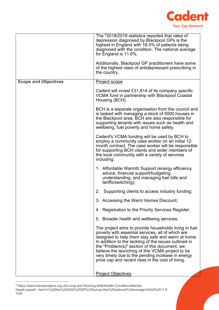

|                             | The <sup>6</sup> 2018/2019 statistics reported that rates of<br>depression diagnosed by Blackpool GPs is the<br>highest in England with 18.5% of patients being<br>diagnosed with the condition. The national average<br>for England is 11.6%.<br>Additionally, Blackpool GP practitioners have some<br>of the highest rates of antidepressant prescribing in<br>the country.                                                           |
|-----------------------------|-----------------------------------------------------------------------------------------------------------------------------------------------------------------------------------------------------------------------------------------------------------------------------------------------------------------------------------------------------------------------------------------------------------------------------------------|
| <b>Scope and Objectives</b> | <b>Project scope</b>                                                                                                                                                                                                                                                                                                                                                                                                                    |
|                             | Cadent will invest £31,814 of its company specific<br>VCMA fund in partnership with Blackpool Coastal<br>Housing (BCH).                                                                                                                                                                                                                                                                                                                 |
|                             | BCH is a separate organisation from the council and<br>is tasked with managing a stock of 5000 houses in<br>the Blackpool area. BCH are also responsible for<br>supporting tenants with issues such as health and<br>wellbeing, fuel poverty and home safety.                                                                                                                                                                           |
|                             | Cadent's VCMA funding will be used by BCH to<br>employ a community case worker on an initial 12-<br>month contract. The case worker will be responsible<br>for supporting BCH clients and wider members of<br>the local community with a variety of services<br>including:                                                                                                                                                              |
|                             | 1. Affordable Warmth Support (energy efficiency<br>advice, financial support/budgeting,<br>understanding, and managing fuel bills and<br>tariffs/switching);                                                                                                                                                                                                                                                                            |
|                             | Supporting clients to access industry funding;<br>2.                                                                                                                                                                                                                                                                                                                                                                                    |
|                             | 3. Accessing the Warm Homes Discount;                                                                                                                                                                                                                                                                                                                                                                                                   |
|                             | 4. Registration to the Priority Services Register;                                                                                                                                                                                                                                                                                                                                                                                      |
|                             | 5. Broader health and wellbeing services.                                                                                                                                                                                                                                                                                                                                                                                               |
|                             | The project aims to provide households living in fuel<br>poverty with essential services, all of which are<br>designed to help them stay safe and warm at home.<br>In addition to the tackling of the issues outlined in<br>the "Problem(s)" section of this document, we<br>believe the launching of this VCMA project to be<br>very timely due to the pending increase in energy<br>price cap and recent rises in the cost of living. |
|                             | <b>Project Objectives</b>                                                                                                                                                                                                                                                                                                                                                                                                               |

<span id="page-4-0"></span> $^6$  https://www.blackpooljsna.org.uk/Living-and-Working-Well/Health-Conditions/Mental-

Health.aspx#:~:text=In%20the%202020%20GP%20Survey,the%20national%20average%20of%2011.6 %25.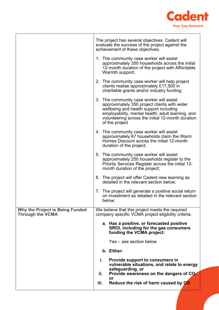

|                                                            | The project has several objectives. Cadent will<br>evaluate the success of the project against the<br>achievement of these objectives.                                                                                                                         |
|------------------------------------------------------------|----------------------------------------------------------------------------------------------------------------------------------------------------------------------------------------------------------------------------------------------------------------|
|                                                            | 1. The community case worker will assist<br>approximately 350 households across the initial<br>12-month duration of the project with Affordable<br>Warmth support;                                                                                             |
|                                                            | 2. The community case worker will help project<br>clients realise approximately £17,500 in<br>charitable grants and/or industry funding;                                                                                                                       |
|                                                            | 3. The community case worker will assist<br>approximately 350 project clients with wider<br>wellbeing and health support including<br>employability, mental health, adult learning, and<br>volunteering across the initial 12-month duration<br>of the project |
|                                                            | 4. The community case worker will assist<br>approximately 67 households claim the Warm<br>Homes Discount across the initial 12-month<br>duration of the project;                                                                                               |
|                                                            | 5. The community case worker will assist<br>approximately 250 households register to the<br>Priority Services Register across the initial 12-<br>month duration of the project;                                                                                |
|                                                            | 6. The project will offer Cadent new learning as<br>detailed in the relevant section below;                                                                                                                                                                    |
|                                                            | 7. The project will generate a positive social return<br>on investment as detailed in the relevant section<br>below;                                                                                                                                           |
| Why the Project is Being Funded<br><b>Through the VCMA</b> | We believe that this project meets the required<br>company specific VCMA project eligibility criteria.                                                                                                                                                         |
|                                                            | a. Has a positive, or forecasted positive<br>SROI, including for the gas consumers<br>funding the VCMA project:                                                                                                                                                |
|                                                            | Yes – see section below                                                                                                                                                                                                                                        |
|                                                            | b. Either:                                                                                                                                                                                                                                                     |
|                                                            | i.<br>Provide support to consumers in<br>vulnerable situations, and relate to energy<br>safeguarding, or                                                                                                                                                       |
|                                                            | ii.<br>Provide awareness on the dangers of CO.<br>or                                                                                                                                                                                                           |
|                                                            | Reduce the risk of harm caused by CO<br>iii.                                                                                                                                                                                                                   |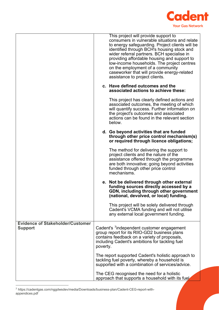

|                                                           |          | This project will provide support to<br>consumers in vulnerable situations and relate<br>to energy safeguarding. Project clients will be<br>identified through BCH's housing stock and<br>wider referral partners. BCH specialise in<br>providing affordable housing and support to<br>low-income households. The project centres<br>on the employment of a community<br>caseworker that will provide energy-related<br>assistance to project clients. |
|-----------------------------------------------------------|----------|--------------------------------------------------------------------------------------------------------------------------------------------------------------------------------------------------------------------------------------------------------------------------------------------------------------------------------------------------------------------------------------------------------------------------------------------------------|
|                                                           |          | c. Have defined outcomes and the<br>associated actions to achieve these:                                                                                                                                                                                                                                                                                                                                                                               |
|                                                           |          | This project has clearly defined actions and<br>associated outcomes, the meeting of which<br>will quantify success. Further information on<br>the project's outcomes and associated<br>actions can be found in the relevant section<br>below.                                                                                                                                                                                                          |
|                                                           |          | d. Go beyond activities that are funded<br>through other price control mechanism(s)<br>or required through licence obligations;                                                                                                                                                                                                                                                                                                                        |
|                                                           |          | The method for delivering the support to<br>project clients and the nature of the<br>assistance offered through the programme<br>are both innovative; going beyond activities<br>funded through other price control<br>mechanisms.                                                                                                                                                                                                                     |
|                                                           |          | e. Not be delivered through other external<br>funding sources directly accessed by a<br>GDN, including through other government<br>(national, devolved, or local) funding                                                                                                                                                                                                                                                                              |
|                                                           |          | This project will be solely delivered through<br>Cadent's VCMA funding and will not utilise<br>any external local government funding.                                                                                                                                                                                                                                                                                                                  |
| <b>Evidence of Stakeholder/Customer</b><br><b>Support</b> | poverty. | Cadent's <sup>7</sup> independent customer engagement<br>group report for its RIIO-GD2 business plans<br>contains feedback on a variety of proposals,<br>including Cadent's ambitions for tackling fuel                                                                                                                                                                                                                                                |
|                                                           |          | The report supported Cadent's holistic approach to<br>tackling fuel poverty, whereby a household is<br>supported with a combination of services/advice.                                                                                                                                                                                                                                                                                                |
|                                                           |          | The CEG recognised the need for a holistic<br>approach that supports a household with its fuel                                                                                                                                                                                                                                                                                                                                                         |

<span id="page-6-0"></span><sup>7</sup> https://cadentgas.com/nggdwsdev/media/Downloads/business-plan/Cadent-CEG-report-withappendices.pdf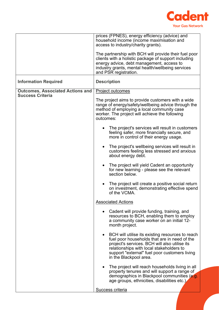

|                                                                    | prices (FPNES), energy efficiency (advice) and<br>household income (income maximisation and<br>access to industry/charity grants).                                                                                                                                       |
|--------------------------------------------------------------------|--------------------------------------------------------------------------------------------------------------------------------------------------------------------------------------------------------------------------------------------------------------------------|
|                                                                    | The partnership with BCH will provide their fuel poor<br>clients with a holistic package of support including<br>energy advice, debt management, access to<br>industry grants, mental health/wellbeing services<br>and PSR registration.                                 |
| <b>Information Required</b>                                        | <b>Description</b>                                                                                                                                                                                                                                                       |
| <b>Outcomes, Associated Actions and</b><br><b>Success Criteria</b> | Project outcomes<br>The project aims to provide customers with a wide<br>range of energy/safety/wellbeing advice through the<br>method of employing a local community case                                                                                               |
|                                                                    | worker. The project will achieve the following<br>outcomes:                                                                                                                                                                                                              |
|                                                                    | The project's services will result in customers<br>feeling safer, more financially secure, and<br>more in control of their energy usage.                                                                                                                                 |
|                                                                    | The project's wellbeing services will result in<br>$\bullet$<br>customers feeling less stressed and anxious<br>about energy debt.                                                                                                                                        |
|                                                                    | The project will yield Cadent an opportunity<br>for new learning - please see the relevant<br>section below.                                                                                                                                                             |
|                                                                    | The project will create a positive social return<br>$\bullet$<br>on investment, demonstrating effective spend<br>of the VCMA.                                                                                                                                            |
|                                                                    | <b>Associated Actions</b>                                                                                                                                                                                                                                                |
|                                                                    | Cadent will provide funding, training, and<br>resources to BCH, enabling them to employ<br>a community case worker on an initial 12-<br>month project.                                                                                                                   |
|                                                                    | BCH will utilise its existing resources to reach<br>fuel poor households that are in need of the<br>project's services. BCH will also utilise its<br>relationships with local stakeholders to<br>support "external" fuel poor customers living<br>in the Blackpool area. |
|                                                                    | The project will reach households living in all<br>$\bullet$<br>property tenures and will support a range of                                                                                                                                                             |
|                                                                    | demographics in Blackpool communities (e.g.<br>age groups, ethnicities, disabilities etc.)                                                                                                                                                                               |
|                                                                    | Success criteria                                                                                                                                                                                                                                                         |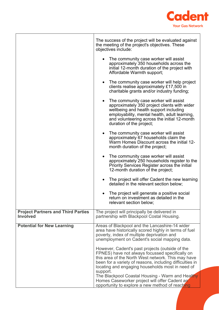

|                                                              | The success of the project will be evaluated against<br>the meeting of the project's objectives. These<br>objectives include:                                                                                                                                             |
|--------------------------------------------------------------|---------------------------------------------------------------------------------------------------------------------------------------------------------------------------------------------------------------------------------------------------------------------------|
|                                                              | • The community case worker will assist<br>approximately 350 households across the<br>initial 12-month duration of the project with<br>Affordable Warmth support;                                                                                                         |
|                                                              | The community case worker will help project<br>$\bullet$<br>clients realise approximately £17,500 in<br>charitable grants and/or industry funding;                                                                                                                        |
|                                                              | The community case worker will assist<br>$\bullet$<br>approximately 350 project clients with wider<br>wellbeing and health support including<br>employability, mental health, adult learning,<br>and volunteering across the initial 12-month<br>duration of the project; |
|                                                              | The community case worker will assist<br>$\bullet$<br>approximately 67 households claim the<br>Warm Homes Discount across the initial 12-<br>month duration of the project;                                                                                               |
|                                                              | The community case worker will assist<br>$\bullet$<br>approximately 250 households register to the<br>Priority Services Register across the initial<br>12-month duration of the project;                                                                                  |
|                                                              | The project will offer Cadent the new learning<br>detailed in the relevant section below;                                                                                                                                                                                 |
|                                                              | The project will generate a positive social<br>return on investment as detailed in the<br>relevant section below;                                                                                                                                                         |
| <b>Project Partners and Third Parties</b><br><b>Involved</b> | The project will principally be delivered in<br>partnership with Blackpool Costal Housing.                                                                                                                                                                                |
| <b>Potential for New Learning</b>                            | Areas of Blackpool and the Lancashire-14 wider<br>area have historically scored highly in terms of fuel<br>poverty, index of multiple deprivation and<br>unemployment on Cadent's social mapping data.                                                                    |
|                                                              | However, Cadent's past projects (outside of the<br>FPNES) have not always focussed specifically on<br>this area of the North West network. This may have<br>been for a variety of reasons, including difficulties in<br>locating and engaging households most in need of  |
|                                                              | support.<br>The Blackpool Coastal Housing - Warm and Healthy<br>Homes Caseworker project will offer Cadent an<br>opportunity to explore a new method of reaching                                                                                                          |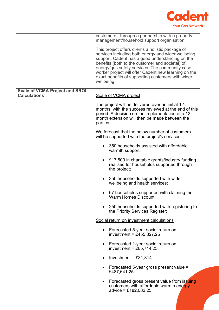

|                                                              | customers - through a partnership with a property<br>management/household support organisation.                                                                                                                                                                                                                                                                                            |
|--------------------------------------------------------------|--------------------------------------------------------------------------------------------------------------------------------------------------------------------------------------------------------------------------------------------------------------------------------------------------------------------------------------------------------------------------------------------|
|                                                              | This project offers clients a holistic package of<br>services including both energy and wider wellbeing<br>support. Cadent has a good understanding on the<br>benefits (both to the customer and societal) of<br>energy/gas safety services. The community case<br>worker project will offer Cadent new learning on the<br>exact benefits of supporting customers with wider<br>wellbeing. |
| <b>Scale of VCMA Project and SROI</b><br><b>Calculations</b> | Scale of VCMA project                                                                                                                                                                                                                                                                                                                                                                      |
|                                                              | The project will be delivered over an initial 12-<br>months, with the success reviewed at the end of this<br>period. A decision on the implementation of a 12-<br>month extension will then be made between the<br>parties.                                                                                                                                                                |
|                                                              | We forecast that the below number of customers<br>will be supported with the project's services:                                                                                                                                                                                                                                                                                           |
|                                                              | 350 households assisted with affordable<br>warmth support;                                                                                                                                                                                                                                                                                                                                 |
|                                                              | £17,500 in charitable grants/industry funding<br>$\bullet$<br>realised for households supported through<br>the project;                                                                                                                                                                                                                                                                    |
|                                                              | 350 households supported with wider<br>$\bullet$<br>wellbeing and health services;                                                                                                                                                                                                                                                                                                         |
|                                                              | 67 households supported with claiming the<br>Warm Homes Discount;                                                                                                                                                                                                                                                                                                                          |
|                                                              | 250 households supported with registering to<br>the Priority Services Register;                                                                                                                                                                                                                                                                                                            |
|                                                              | Social return on investment calculations                                                                                                                                                                                                                                                                                                                                                   |
|                                                              | Forecasted 5-year social return on<br>investment = £455,827.25                                                                                                                                                                                                                                                                                                                             |
|                                                              | Forecasted 1-year social return on<br>$\bullet$<br>investment = £65,714.25                                                                                                                                                                                                                                                                                                                 |
|                                                              | Investment = £31,814                                                                                                                                                                                                                                                                                                                                                                       |
|                                                              | Forecasted 5-year gross present value =<br>£487,641.25                                                                                                                                                                                                                                                                                                                                     |
|                                                              | Forecasted gross present value from issuing<br>٠<br>customers with affordable warmth energy<br>advice = £182,082.25                                                                                                                                                                                                                                                                        |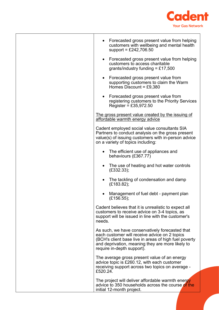

| Forecasted gross present value from helping<br>customers with wellbeing and mental health<br>support = £242,706.50                                                                                                                          |
|---------------------------------------------------------------------------------------------------------------------------------------------------------------------------------------------------------------------------------------------|
| Forecasted gross present value from helping<br>customers to access charitable<br>grants/industry funding = £17,500                                                                                                                          |
| Forecasted gross present value from<br>supporting customers to claim the Warm<br>Homes Discount = $£9,380$                                                                                                                                  |
| Forecasted gross present value from<br>$\bullet$<br>registering customers to the Priority Services<br>Register = £35,972.50                                                                                                                 |
| <u>The gross present value created by the issuing of</u><br>affordable warmth energy advice                                                                                                                                                 |
| Cadent employed social value consultants SIA<br>Partners to conduct analysis on the gross present<br>value(s) of issuing customers with in-person advice<br>on a variety of topics including:                                               |
| The efficient use of appliances and<br>$\bullet$<br>behaviours (£367.77)                                                                                                                                                                    |
| The use of heating and hot water controls<br>$\bullet$<br>(E332.33);                                                                                                                                                                        |
| The tackling of condensation and damp<br>$\bullet$<br>(E183.82);                                                                                                                                                                            |
| Management of fuel debt - payment plan<br>(E156.55);                                                                                                                                                                                        |
| Cadent believes that it is unrealistic to expect all<br>customers to receive advice on 3-4 topics, as<br>support will be issued in line with the customer's<br>needs.                                                                       |
| As such, we have conservatively forecasted that<br>each customer will receive advice on 2 topics<br>(BCH's client base live in areas of high fuel poverty<br>and deprivation, meaning they are more likely to<br>require in-depth support). |
| The average gross present value of an energy<br>advice topic is £260.12, with each customer<br>receiving support across two topics on average -<br>£520.24.                                                                                 |
| The project will deliver affordable warmth energy<br>advice to 350 households across the course of the<br>initial 12-month project.                                                                                                         |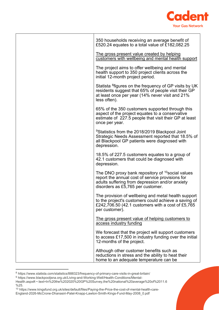

| 350 households receiving an average benefit of<br>£520.24 equates to a total value of £182,082.25                                                                                                  |
|----------------------------------------------------------------------------------------------------------------------------------------------------------------------------------------------------|
| The gross present value created by helping<br>customers with wellbeing and mental health support                                                                                                   |
| The project aims to offer wellbeing and mental<br>health support to 350 project clients across the<br>initial 12-month project period.                                                             |
| Statista <sup>8</sup> figures on the frequency of GP visits by UK<br>residents suggest that 65% of people visit their GP<br>at least once per year (14% never visit and 21%<br>less often).        |
| 65% of the 350 customers supported through this<br>aspect of the project equates to a conservative<br>estimate of 227.5 people that visit their GP at least<br>once per year.                      |
| <sup>9</sup> Statistics from the 2018/2019 Blackpool Joint<br>Strategic Needs Assessment reported that 18.5% of<br>all Blackpool GP patients were diagnosed with<br>depression.                    |
| 18.5% of 227.5 customers equates to a group of<br>42.1 customers that could be diagnosed with<br>depression.                                                                                       |
| The DNO proxy bank repository of $^{10}$ social values<br>report the annual cost of service provisions for<br>adults suffering from depression and/or anxiety<br>disorders as £5,765 per customer. |
| The provision of wellbeing and metal health support<br>to the project's customers could achieve a saving of<br>£242,706.50 (42.1 customers with a cost of £5,765<br>per customer).                 |
| The gross present value of helping customers to<br>access industry funding                                                                                                                         |
| We forecast that the project will support customers<br>to access £17,500 in industry funding over the initial<br>12-months of the project.                                                         |
| Although other customer benefits such as<br>reductions in stress and the ability to heat their<br>home to an adequate temperature can be                                                           |

<span id="page-11-0"></span><sup>8</sup> https://www.statista.com/statistics/888323/frequency-of-primary-care-visits-in-great-britain/

<span id="page-11-1"></span><sup>9</sup> https://www.blackpooljsna.org.uk/Living-and-Working-Well/Health-Conditions/Mental-

Health.aspx#:~:text=In%20the%202020%20GP%20Survey,the%20national%20average%20of%2011.6 %25.

<span id="page-11-2"></span><sup>10</sup> https://www.kingsfund.org.uk/sites/default/files/Paying-the-Price-the-cost-of-mental-health-care-England-2026-McCrone-Dhanasiri-Patel-Knapp-Lawton-Smith-Kings-Fund-May-2008\_0.pdf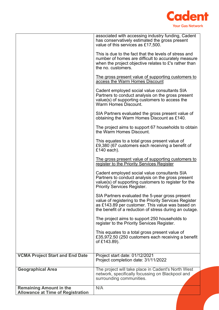

|                                                                            | associated with accessing industry funding, Cadent<br>has conservatively estimated the gross present<br>value of this services as £17,500.<br>This is due to the fact that the levels of stress and                     |
|----------------------------------------------------------------------------|-------------------------------------------------------------------------------------------------------------------------------------------------------------------------------------------------------------------------|
|                                                                            | number of homes are difficult to accurately measure<br>when the project objective relates to £'s rather than<br>the no. customers.                                                                                      |
|                                                                            | <u>The gross present value of supporting customers to</u><br>access the Warm Homes Discount                                                                                                                             |
|                                                                            | Cadent employed social value consultants SIA<br>Partners to conduct analysis on the gross present<br>value(s) of supporting customers to access the<br><b>Warm Homes Discount.</b>                                      |
|                                                                            | SIA Partners evaluated the gross present value of<br>obtaining the Warm Homes Discount as £140.                                                                                                                         |
|                                                                            | The project aims to support 67 households to obtain<br>the Warm Homes Discount.                                                                                                                                         |
|                                                                            | This equates to a total gross present value of<br>£9,380 (67 customers each receiving a benefit of<br>£140 each).                                                                                                       |
|                                                                            | The gross present value of supporting customers to<br>register to the Priority Services Register                                                                                                                        |
|                                                                            | Cadent employed social value consultants SIA<br>Partners to conduct analysis on the gross present<br>value(s) of supporting customers to register for the<br><b>Priority Services Register.</b>                         |
|                                                                            | SIA Partners evaluated the 5-year gross present<br>value of registering to the Priority Services Register<br>as £143.89 per customer. This value was based on<br>the benefit of a reduction of stress during an outage. |
|                                                                            | The project aims to support 250 households to<br>register to the Priority Services Register.                                                                                                                            |
|                                                                            | This equates to a total gross present value of<br>£35,972.50 (250 customers each receiving a benefit<br>of £143.89).                                                                                                    |
| <b>VCMA Project Start and End Date</b>                                     | Project start date: 01/12/2021<br>Project completion date: 31/11/2022                                                                                                                                                   |
| <b>Geographical Area</b>                                                   | The project will take place in Cadent's North West<br>network, specifically focussing on Blackpool and<br>surrounding communities.                                                                                      |
| <b>Remaining Amount in the</b><br><b>Allowance at Time of Registration</b> | N/A                                                                                                                                                                                                                     |